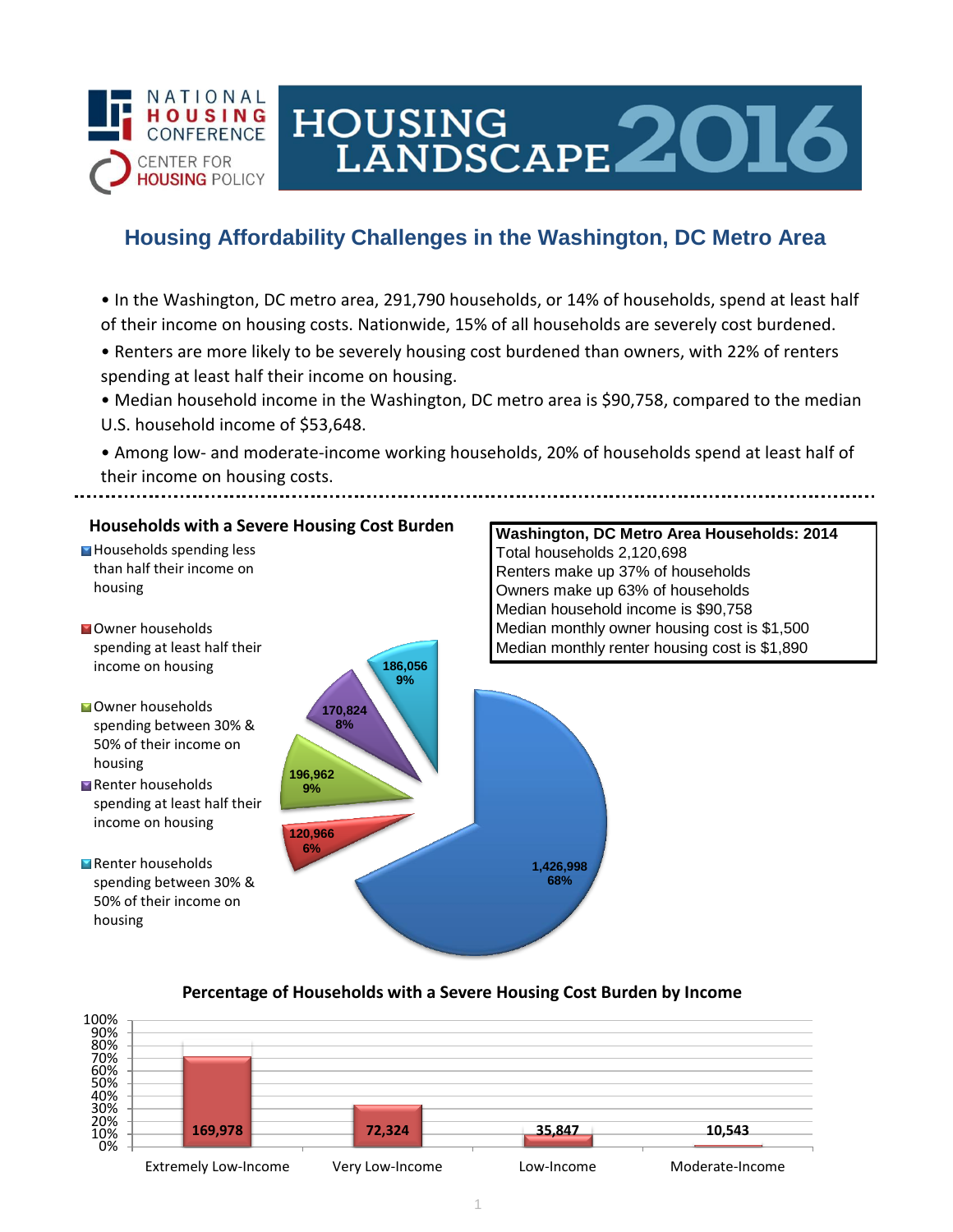

# **Housing Affordability Challenges in the Washington, DC Metro Area**

HOUSING<br>LANDSCAPE 2016

- In the Washington, DC metro area, 291,790 households, or 14% of households, spend at least half of their income on housing costs. Nationwide, 15% of all households are severely cost burdened.
- Renters are more likely to be severely housing cost burdened than owners, with 22% of renters spending at least half their income on housing.
- Median household income in the Washington, DC metro area is \$90,758, compared to the median U.S. household income of \$53,648.
- Among low- and moderate-income working households, 20% of households spend at least half of their income on housing costs.

### **Households with a Severe Housing Cost Burden**

**Households spending less** than half their income on housing

- **N**Owner households spending at least half their income on housing
- Owner households spending between 30% & 50% of their income on housing
- Renter households spending at least half their income on housing
- Renter households spending between 30% & 50% of their income on housing



### **Washington, DC Metro Area Households: 2014** Total households 2,120,698 Renters make up 37% of households Owners make up 63% of households Median household income is \$90,758 Median monthly owner housing cost is \$1,500 Median monthly renter housing cost is \$1,890

### **Percentage of Households with a Severe Housing Cost Burden by Income**